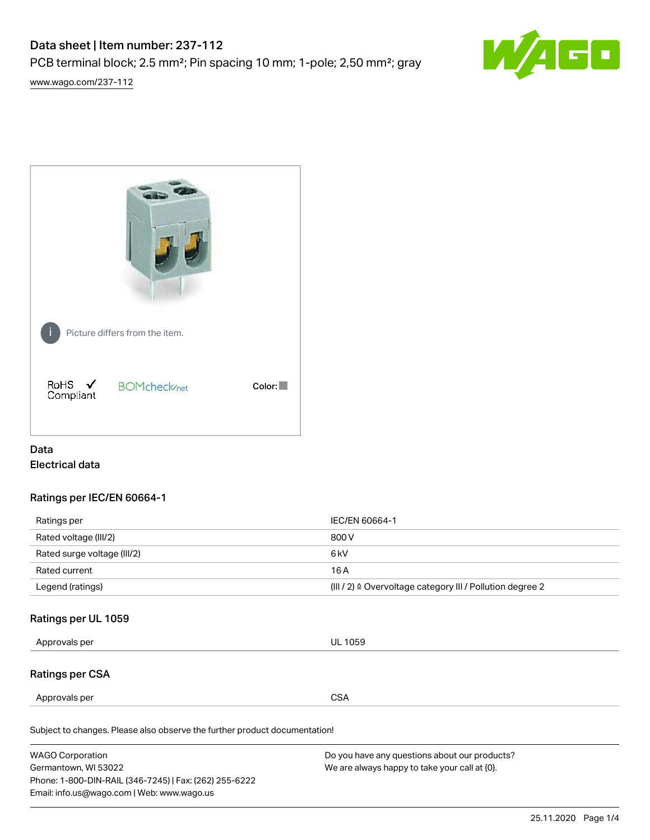## Data sheet | Item number: 237-112

PCB terminal block; 2.5 mm<sup>2</sup>; Pin spacing 10 mm; 1-pole; 2,50 mm<sup>2</sup>; gray

[www.wago.com/237-112](http://www.wago.com/237-112)





## Data Electrical data

## Ratings per IEC/EN 60664-1

| Ratings per                 | IEC/EN 60664-1                                                       |
|-----------------------------|----------------------------------------------------------------------|
| Rated voltage (III/2)       | 800 V                                                                |
| Rated surge voltage (III/2) | 6 <sub>k</sub> V                                                     |
| Rated current               | 16 A                                                                 |
| Legend (ratings)            | (III / 2) $\triangleq$ Overvoltage category III / Pollution degree 2 |
|                             |                                                                      |

### Ratings per UL 1059

| Approvals per          | <b>UL 1059</b> |
|------------------------|----------------|
| <b>Ratings per CSA</b> |                |

Approvals per CSA

Subject to changes. Please also observe the further product documentation!

| WAGO Corporation                                       | Do you have any questions about our products? |
|--------------------------------------------------------|-----------------------------------------------|
| Germantown, WI 53022                                   | We are always happy to take your call at {0}. |
| Phone: 1-800-DIN-RAIL (346-7245)   Fax: (262) 255-6222 |                                               |
| Email: info.us@wago.com   Web: www.wago.us             |                                               |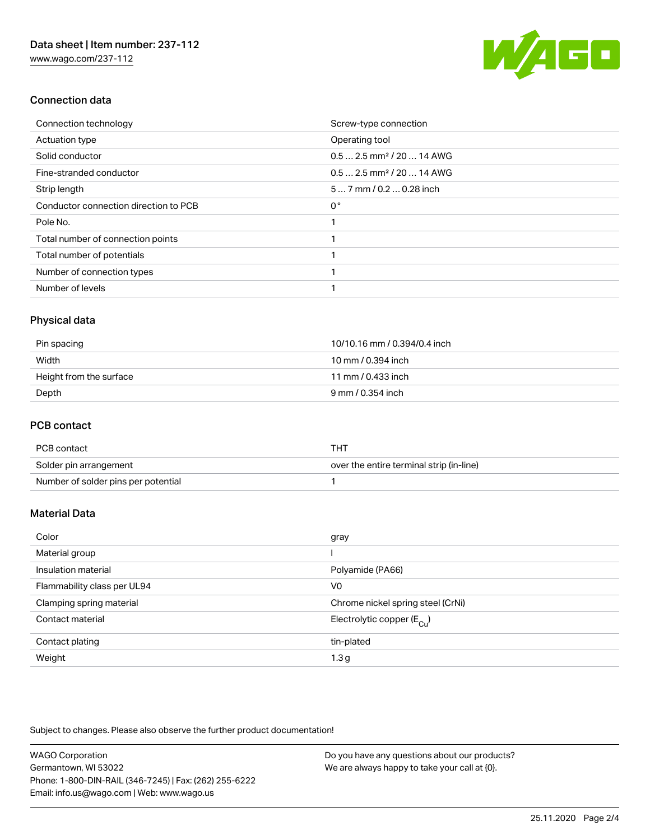

## Connection data

| Connection technology                 | Screw-type connection                  |
|---------------------------------------|----------------------------------------|
| <b>Actuation type</b>                 | Operating tool                         |
| Solid conductor                       | $0.5$ 2.5 mm <sup>2</sup> / 20  14 AWG |
| Fine-stranded conductor               | $0.5$ 2.5 mm <sup>2</sup> / 20  14 AWG |
| Strip length                          | $57$ mm $/ 0.20.28$ inch               |
| Conductor connection direction to PCB | $0^{\circ}$                            |
| Pole No.                              |                                        |
| Total number of connection points     |                                        |
| Total number of potentials            |                                        |
| Number of connection types            |                                        |
| Number of levels                      |                                        |

### Physical data

| Pin spacing             | 10/10.16 mm / 0.394/0.4 inch |
|-------------------------|------------------------------|
| Width                   | 10 mm / 0.394 inch           |
| Height from the surface | 11 mm / 0.433 inch           |
| Depth                   | 9 mm / 0.354 inch            |

### PCB contact

| PCB contact                         | тнт                                      |
|-------------------------------------|------------------------------------------|
| Solder pin arrangement              | over the entire terminal strip (in-line) |
| Number of solder pins per potential |                                          |

## Material Data

| Color                       | gray                                   |
|-----------------------------|----------------------------------------|
| Material group              |                                        |
| Insulation material         | Polyamide (PA66)                       |
| Flammability class per UL94 | V <sub>0</sub>                         |
| Clamping spring material    | Chrome nickel spring steel (CrNi)      |
| Contact material            | Electrolytic copper (E <sub>Cu</sub> ) |
| Contact plating             | tin-plated                             |
| Weight                      | 1.3 <sub>g</sub>                       |

Subject to changes. Please also observe the further product documentation!

| <b>WAGO Corporation</b>                                | Do you have any questions about our products? |
|--------------------------------------------------------|-----------------------------------------------|
| Germantown, WI 53022                                   | We are always happy to take your call at {0}. |
| Phone: 1-800-DIN-RAIL (346-7245)   Fax: (262) 255-6222 |                                               |
| Email: info.us@wago.com   Web: www.wago.us             |                                               |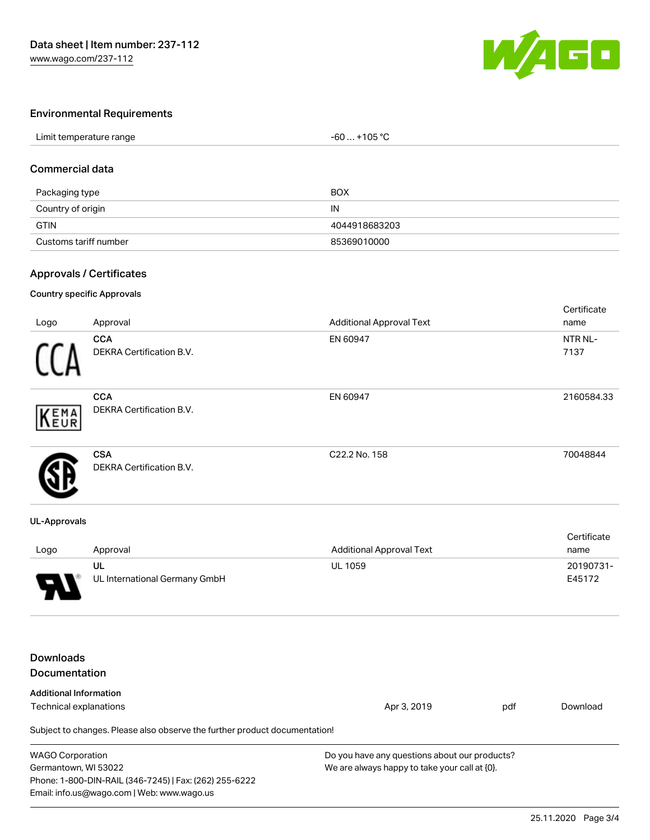

#### Environmental Requirements

| Limit temperature range | +105 °C<br>$-60$ |  |
|-------------------------|------------------|--|
|                         |                  |  |

#### Commercial data

| Packaging type        | <b>BOX</b>    |
|-----------------------|---------------|
| Country of origin     | IN            |
| <b>GTIN</b>           | 4044918683203 |
| Customs tariff number | 85369010000   |

#### Approvals / Certificates

#### Country specific Approvals

| Logo       | Approval                                      | <b>Additional Approval Text</b> | Certificate<br>name |
|------------|-----------------------------------------------|---------------------------------|---------------------|
|            | <b>CCA</b><br>DEKRA Certification B.V.        | EN 60947                        | NTR NL-<br>7137     |
| EMA<br>EUR | <b>CCA</b><br><b>DEKRA Certification B.V.</b> | EN 60947                        | 2160584.33          |
|            | <b>CSA</b><br>DEKRA Certification B.V.        | C22.2 No. 158                   | 70048844            |

#### UL-Approvals

| Logo | Approval                            | <b>Additional Approval Text</b> | Certificate<br>name |
|------|-------------------------------------|---------------------------------|---------------------|
|      | UL<br>UL International Germany GmbH | <b>UL 1059</b>                  | 20190731-<br>E45172 |
| O    |                                     |                                 |                     |

# Downloads

Email: info.us@wago.com | Web: www.wago.us

| <b>Documentation</b>                                                       |                                               |     |          |
|----------------------------------------------------------------------------|-----------------------------------------------|-----|----------|
| <b>Additional Information</b><br>Technical explanations                    | Apr 3, 2019                                   | pdf | Download |
| Subject to changes. Please also observe the further product documentation! |                                               |     |          |
| <b>WAGO Corporation</b>                                                    | Do you have any questions about our products? |     |          |
| Germantown, WI 53022                                                       | We are always happy to take your call at {0}. |     |          |
| Phone: 1-800-DIN-RAIL (346-7245)   Fax: (262) 255-6222                     |                                               |     |          |